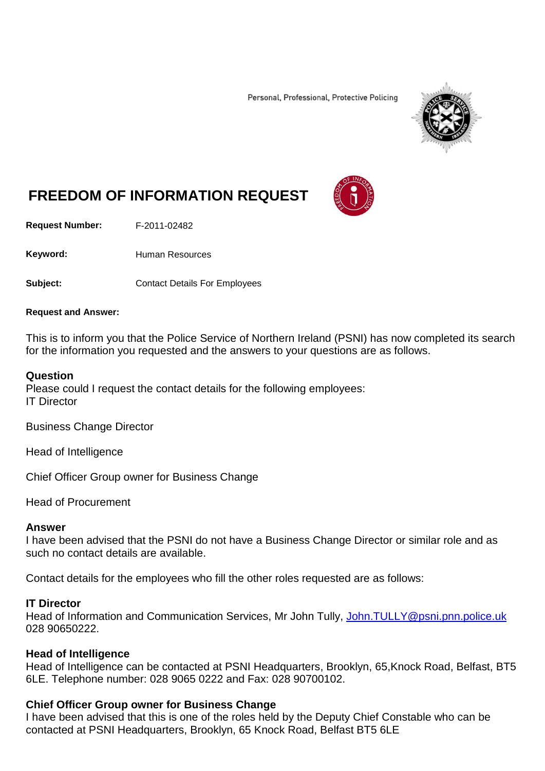Personal, Professional, Protective Policing



# **FREEDOM OF INFORMATION REQUEST**

**Request Number:** F-2011-02482

Keyword: Human Resources

**Subject:** Contact Details For Employees

#### **Request and Answer:**

This is to inform you that the Police Service of Northern Ireland (PSNI) has now completed its search for the information you requested and the answers to your questions are as follows.

## **Question**

Please could I request the contact details for the following employees: IT Director

Business Change Director

Head of Intelligence

Chief Officer Group owner for Business Change

Head of Procurement

#### **Answer**

I have been advised that the PSNI do not have a Business Change Director or similar role and as such no contact details are available.

Contact details for the employees who fill the other roles requested are as follows:

#### **IT Director**

Head of Information and Communication Services, Mr John Tully, John.TULLY@psni.pnn.police.uk 028 90650222.

# **Head of Intelligence**

Head of Intelligence can be contacted at PSNI Headquarters, Brooklyn, 65,Knock Road, Belfast, BT5 6LE. Telephone number: 028 9065 0222 and Fax: 028 90700102.

# **Chief Officer Group owner for Business Change**

I have been advised that this is one of the roles held by the Deputy Chief Constable who can be contacted at PSNI Headquarters, Brooklyn, 65 Knock Road, Belfast BT5 6LE